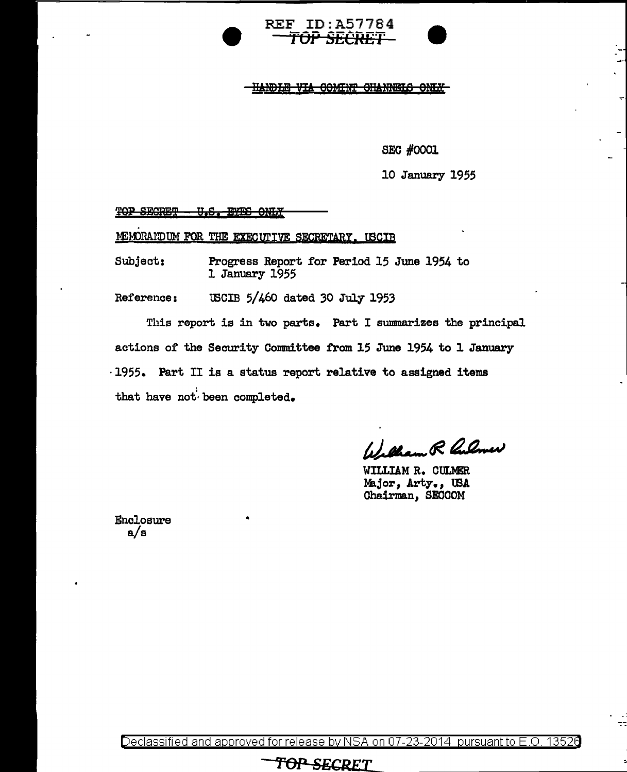

HANDLE VIA COMINT CHANNELS ONLY

**SEC #0001** 

10 January 1955

#### TOP SECRET -<u> U.S. BYBS ONLY</u>

MEMORAIDUM FOR THE EXECUTIVE SECRETARY. USCIB

Subject: Progress Report for Period 15 June 1954 to 1 January 1955

USCIB 5/460 dated 30 July 1953 Reference:

This report is in two parts. Part I summarizes the principal actions of the Security Committee from 15 June 1954 to 1 January ·1955. Part II is a status report relative to assigned items that have not been completed.

William R Culmer

WILLIAM R. CULMER Major, Arty., USA Chairman, SECCOM

Enclosure  $a/s$ 

Declassified and approved for release by NSA on 07-23-2014 pursuant to E.O. 13526

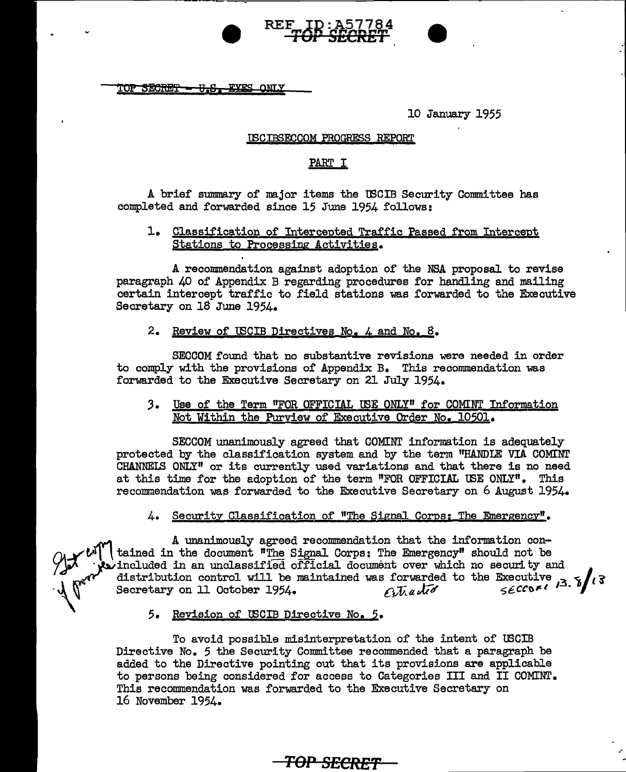$\overline{\text{TOP}}$  <del>SECRET - U.S. EYES</del> ONLY

10 January 1955

#### 'CBCIBSECCOM PROGRESS REPORT

#### PART I

A brief summary of major items the U3CIB Security Committee has completed and forwarded since 15 June 1954 follows:

#### 1. Classification of Intercepted Traffic Passed from Intercept Stations to Processing Activities.

A recommendation against adoption of the NSA proposal to revise paragraph 40 of Appendix B regarding procedures for handling and mailing certain intercept traffic to field stations was forwarded to the Executive Secretary on 18 June 1954.

#### 2. Review of USCIB Directives No. 4 and No. 8.

SECCOM found that no substantive revisions were needed in order to comply with the provisions of Appendix B. This recommendation was forwarded to the Executive Secretary on 21 July 1954.

#### *3.* Use of the Term "FOR OFFICIAL IBE ONLY" for COMINT Information Not Within the Purview of Executive Order No, 10501.

SECCOM unanimously agreed that COMINT information is adequately protected by the classification system and by the term "HANDLE VIA COMINT  $CHANNEIS$  ONLY" or its currently used variations and that there is no need at this time for the adoption of the term "FOR OFFICIAL USE ONLY". This recommendation was forwarded to the Executive Secretary on 6 August 1954.

#### 4. Security Classification of "The Signal Corps: The Emergency".

A unanimously agreed recommendation that the information con- $\alpha$   $\sim$   $\alpha$ <sup>"</sup> | tained in the document "The Signal Corps: The Emergency" should not be  $\mathcal{F}_{\mathcal{P}}$  included in an unclassified official document over which no security and distribution control will be maintained was forwarded to the Executive Secretary on 11 October 1954. *Alta* 117Aa  $56000113.5113$ 

#### 5. Revision of U3CIB Directive No. *5.*

To avoid possible misinterpretation of the intent of USCIB Directive No. 5 the Security Committee recommended that a paragraph be added to the Directive pointing out that its provisions are applicable to persons being considered for access to Categories III and II COMINT. This recommendation was forwarded to the Executive Secretary on 16 November 1954.

**TOP SECRE"f** --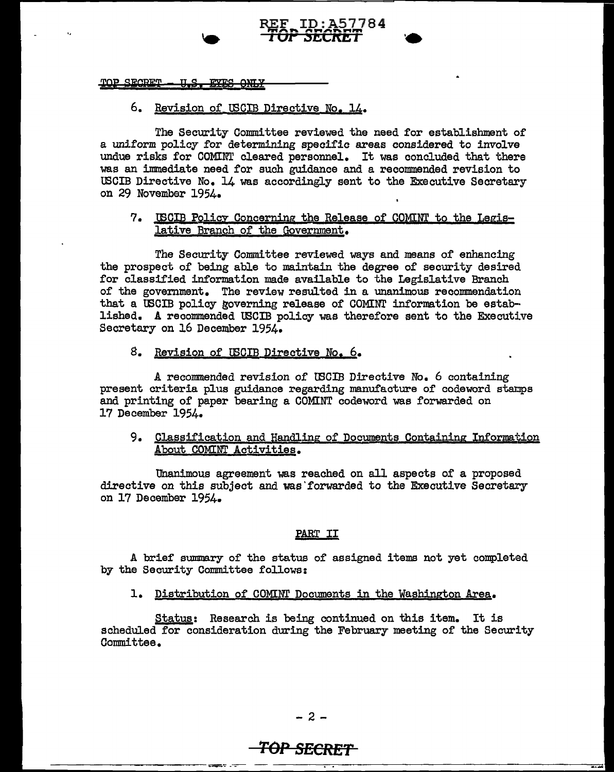# TOP SECRET - U.S. EYES ONLY

# 6. Revision of lBCIB Directive No, 14.

The Security Committee reviewed the need for establishment of a uniform policy for determining specific areas considered to involve undue risks for COMINT cleared personnel. It was concluded that there was an immediate need for such guidance and a recommended revision to lBCIB Directive No. 14 was accordingly sent to the Executive Secretary on 29 November 1954.

REF ID:A57784 ..... \_ ... ,. .. ,.. .......... **1** *or* **1.1:t1crtr; J** •

### 7. U3C!B Policy Concerning the Release of COMINT to the Legislative Branch of the Government.

The Security Committee reviewed ways and means of enhancing the prospect of being able to maintain the degree of security desired for classified information made available to the Legislative Branch of the govexnment. The review resulted in a unanimous recommendation that a lBCIB policy governing release of COMINT information be estab-· lished. A recommended USCIB policy was therefore sent to the Executive Secretary on 16 December 1954.

# 8. Revision of USCIB Directive No. 6.

A recommended revision of U3CIB Directive No. 6 containing present criteria plus guidance regarding manufacture of codeword stanps and printing of paper bearing a COMINT codeword was forwarded on 17 December 1954.

### 9. Classification and Handling of Documents Containing Information About COMINT Activities.

Unanimous agreement was reached on all aspects of a proposed directive on this subject and was forwarded to the Executive Secretary on 17 December 1954.

# PART II

A brief summary of the status of assigned items not yet completed by the Security Committee follows:

# 1. Distribution of COMINT Documents in the Washington Area.

Status: Research is being continued on this item. It is scheduled for consideration during the February meeting of the Security Committee,

# **TOP SECRET**

------------~-"' ----